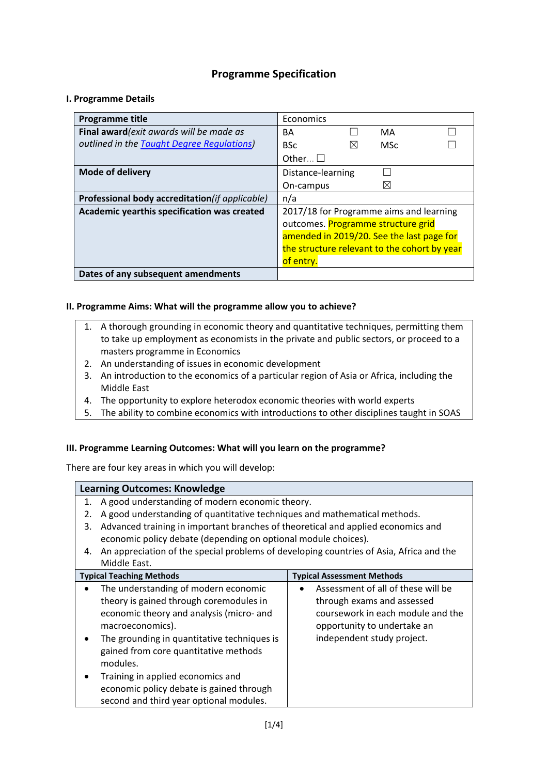## **Programme Specification**

### **I. Programme Details**

| <b>Programme title</b>                         | Economics                                    |
|------------------------------------------------|----------------------------------------------|
| Final award (exit awards will be made as       | MA<br><b>BA</b>                              |
| outlined in the Taught Degree Regulations)     | <b>BSc</b><br>M <sub>Sc</sub><br>$\bowtie$   |
|                                                | Other $\Box$                                 |
| Mode of delivery                               | Distance-learning                            |
|                                                | ⋉<br>On-campus                               |
| Professional body accreditation(if applicable) | n/a                                          |
| Academic yearthis specification was created    | 2017/18 for Programme aims and learning      |
|                                                | outcomes. Programme structure grid           |
|                                                | amended in 2019/20. See the last page for    |
|                                                | the structure relevant to the cohort by year |
|                                                | of entry.                                    |
| Dates of any subsequent amendments             |                                              |

#### **II. Programme Aims: What will the programme allow you to achieve?**

- 1. A thorough grounding in economic theory and quantitative techniques, permitting them to take up employment as economists in the private and public sectors, or proceed to a masters programme in Economics
- 2. An understanding of issues in economic development
- 3. An introduction to the economics of a particular region of Asia or Africa, including the Middle East
- 4. The opportunity to explore heterodox economic theories with world experts
- 5. The ability to combine economics with introductions to other disciplines taught in SOAS

#### **III. Programme Learning Outcomes: What will you learn on the programme?**

There are four key areas in which you will develop:

|                                          | <b>Learning Outcomes: Knowledge</b>                                                     |                                    |  |  |  |  |  |  |
|------------------------------------------|-----------------------------------------------------------------------------------------|------------------------------------|--|--|--|--|--|--|
| 1.                                       | A good understanding of modern economic theory.                                         |                                    |  |  |  |  |  |  |
| 2.                                       | A good understanding of quantitative techniques and mathematical methods.               |                                    |  |  |  |  |  |  |
| 3.                                       | Advanced training in important branches of theoretical and applied economics and        |                                    |  |  |  |  |  |  |
|                                          | economic policy debate (depending on optional module choices).                          |                                    |  |  |  |  |  |  |
| 4.                                       | An appreciation of the special problems of developing countries of Asia, Africa and the |                                    |  |  |  |  |  |  |
|                                          | Middle East.                                                                            |                                    |  |  |  |  |  |  |
|                                          | <b>Typical Teaching Methods</b>                                                         | <b>Typical Assessment Methods</b>  |  |  |  |  |  |  |
|                                          | The understanding of modern economic                                                    | Assessment of all of these will be |  |  |  |  |  |  |
|                                          | theory is gained through coremodules in                                                 | through exams and assessed         |  |  |  |  |  |  |
|                                          | economic theory and analysis (micro- and                                                | coursework in each module and the  |  |  |  |  |  |  |
|                                          | macroeconomics).                                                                        | opportunity to undertake an        |  |  |  |  |  |  |
|                                          | The grounding in quantitative techniques is                                             | independent study project.         |  |  |  |  |  |  |
|                                          | gained from core quantitative methods                                                   |                                    |  |  |  |  |  |  |
|                                          | modules.                                                                                |                                    |  |  |  |  |  |  |
|                                          | Training in applied economics and                                                       |                                    |  |  |  |  |  |  |
| economic policy debate is gained through |                                                                                         |                                    |  |  |  |  |  |  |
|                                          | second and third year optional modules.                                                 |                                    |  |  |  |  |  |  |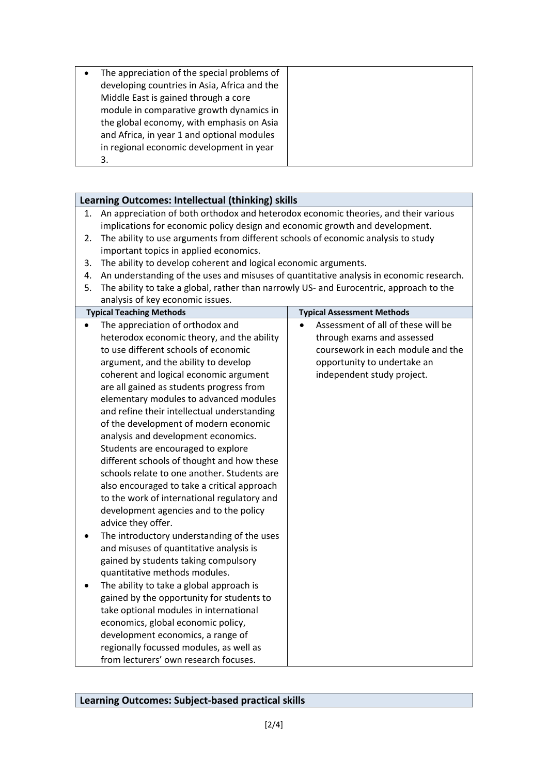| The appreciation of the special problems of<br>developing countries in Asia, Africa and the<br>Middle East is gained through a core<br>module in comparative growth dynamics in<br>the global economy, with emphasis on Asia<br>and Africa, in year 1 and optional modules<br>in regional economic development in year |  |
|------------------------------------------------------------------------------------------------------------------------------------------------------------------------------------------------------------------------------------------------------------------------------------------------------------------------|--|
| 3.                                                                                                                                                                                                                                                                                                                     |  |

|    | Learning Outcomes: Intellectual (thinking) skills                                       |                                    |  |  |  |  |  |  |
|----|-----------------------------------------------------------------------------------------|------------------------------------|--|--|--|--|--|--|
| 1. | An appreciation of both orthodox and heterodox economic theories, and their various     |                                    |  |  |  |  |  |  |
|    | implications for economic policy design and economic growth and development.            |                                    |  |  |  |  |  |  |
| 2. | The ability to use arguments from different schools of economic analysis to study       |                                    |  |  |  |  |  |  |
|    | important topics in applied economics.                                                  |                                    |  |  |  |  |  |  |
| 3. | The ability to develop coherent and logical economic arguments.                         |                                    |  |  |  |  |  |  |
| 4. | An understanding of the uses and misuses of quantitative analysis in economic research. |                                    |  |  |  |  |  |  |
| 5. | The ability to take a global, rather than narrowly US- and Eurocentric, approach to the |                                    |  |  |  |  |  |  |
|    | analysis of key economic issues.                                                        |                                    |  |  |  |  |  |  |
|    | <b>Typical Teaching Methods</b>                                                         | <b>Typical Assessment Methods</b>  |  |  |  |  |  |  |
|    | The appreciation of orthodox and                                                        | Assessment of all of these will be |  |  |  |  |  |  |
|    | heterodox economic theory, and the ability                                              | through exams and assessed         |  |  |  |  |  |  |
|    | to use different schools of economic                                                    | coursework in each module and the  |  |  |  |  |  |  |
|    | argument, and the ability to develop                                                    | opportunity to undertake an        |  |  |  |  |  |  |
|    | coherent and logical economic argument                                                  | independent study project.         |  |  |  |  |  |  |
|    | are all gained as students progress from                                                |                                    |  |  |  |  |  |  |
|    | elementary modules to advanced modules                                                  |                                    |  |  |  |  |  |  |
|    | and refine their intellectual understanding                                             |                                    |  |  |  |  |  |  |
|    | of the development of modern economic                                                   |                                    |  |  |  |  |  |  |
|    | analysis and development economics.                                                     |                                    |  |  |  |  |  |  |
|    | Students are encouraged to explore                                                      |                                    |  |  |  |  |  |  |
|    | different schools of thought and how these                                              |                                    |  |  |  |  |  |  |
|    | schools relate to one another. Students are                                             |                                    |  |  |  |  |  |  |
|    | also encouraged to take a critical approach                                             |                                    |  |  |  |  |  |  |
|    | to the work of international regulatory and                                             |                                    |  |  |  |  |  |  |
|    | development agencies and to the policy                                                  |                                    |  |  |  |  |  |  |
|    | advice they offer.                                                                      |                                    |  |  |  |  |  |  |
|    | The introductory understanding of the uses                                              |                                    |  |  |  |  |  |  |
|    | and misuses of quantitative analysis is                                                 |                                    |  |  |  |  |  |  |
|    | gained by students taking compulsory                                                    |                                    |  |  |  |  |  |  |
|    | quantitative methods modules.                                                           |                                    |  |  |  |  |  |  |
|    | The ability to take a global approach is                                                |                                    |  |  |  |  |  |  |
|    | gained by the opportunity for students to                                               |                                    |  |  |  |  |  |  |
|    | take optional modules in international                                                  |                                    |  |  |  |  |  |  |
|    | economics, global economic policy,                                                      |                                    |  |  |  |  |  |  |
|    | development economics, a range of                                                       |                                    |  |  |  |  |  |  |
|    | regionally focussed modules, as well as                                                 |                                    |  |  |  |  |  |  |
|    | from lecturers' own research focuses.                                                   |                                    |  |  |  |  |  |  |

# **Learning Outcomes: Subject-based practical skills**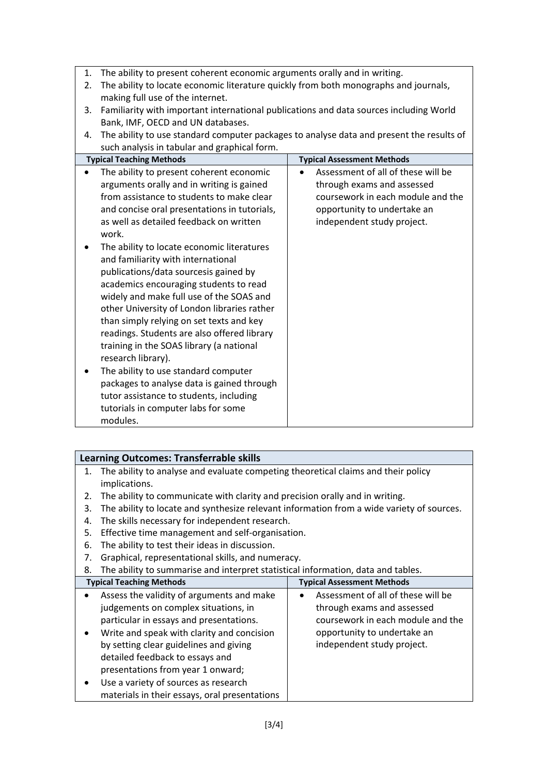| 1. | The ability to present coherent economic arguments orally and in writing.                |                                    |  |  |  |  |  |  |
|----|------------------------------------------------------------------------------------------|------------------------------------|--|--|--|--|--|--|
| 2. | The ability to locate economic literature quickly from both monographs and journals,     |                                    |  |  |  |  |  |  |
|    | making full use of the internet.                                                         |                                    |  |  |  |  |  |  |
| 3. | Familiarity with important international publications and data sources including World   |                                    |  |  |  |  |  |  |
|    | Bank, IMF, OECD and UN databases.                                                        |                                    |  |  |  |  |  |  |
| 4. | The ability to use standard computer packages to analyse data and present the results of |                                    |  |  |  |  |  |  |
|    | such analysis in tabular and graphical form.                                             |                                    |  |  |  |  |  |  |
|    | <b>Typical Teaching Methods</b>                                                          | <b>Typical Assessment Methods</b>  |  |  |  |  |  |  |
|    | The ability to present coherent economic                                                 | Assessment of all of these will be |  |  |  |  |  |  |
|    | arguments orally and in writing is gained                                                | through exams and assessed         |  |  |  |  |  |  |
|    | from assistance to students to make clear                                                | coursework in each module and the  |  |  |  |  |  |  |
|    | and concise oral presentations in tutorials,                                             | opportunity to undertake an        |  |  |  |  |  |  |
|    | as well as detailed feedback on written                                                  | independent study project.         |  |  |  |  |  |  |
|    | work.                                                                                    |                                    |  |  |  |  |  |  |
|    | The ability to locate economic literatures                                               |                                    |  |  |  |  |  |  |
|    | and familiarity with international                                                       |                                    |  |  |  |  |  |  |
|    | publications/data sourcesis gained by                                                    |                                    |  |  |  |  |  |  |
|    | academics encouraging students to read                                                   |                                    |  |  |  |  |  |  |
|    | widely and make full use of the SOAS and                                                 |                                    |  |  |  |  |  |  |
|    | other University of London libraries rather                                              |                                    |  |  |  |  |  |  |
|    | than simply relying on set texts and key                                                 |                                    |  |  |  |  |  |  |
|    | readings. Students are also offered library                                              |                                    |  |  |  |  |  |  |
|    | training in the SOAS library (a national                                                 |                                    |  |  |  |  |  |  |
|    | research library).                                                                       |                                    |  |  |  |  |  |  |
| ٠  | The ability to use standard computer                                                     |                                    |  |  |  |  |  |  |
|    | packages to analyse data is gained through                                               |                                    |  |  |  |  |  |  |
|    | tutor assistance to students, including                                                  |                                    |  |  |  |  |  |  |
|    | tutorials in computer labs for some                                                      |                                    |  |  |  |  |  |  |
|    | modules.                                                                                 |                                    |  |  |  |  |  |  |

|  | Learning Outcomes: Transferrable skills |
|--|-----------------------------------------|
|  |                                         |

- 1. The ability to analyse and evaluate competing theoretical claims and their policy implications.
- 2. The ability to communicate with clarity and precision orally and in writing.
- 3. The ability to locate and synthesize relevant information from a wide variety of sources.
- 4. The skills necessary for independent research.
- 5. Effective time management and self-organisation.
- 6. The ability to test their ideas in discussion.
- 7. Graphical, representational skills, and numeracy.
- 8. The ability to summarise and interpret statistical information, data and tables.

|           | <b>Typical Teaching Methods</b>               | <b>Typical Assessment Methods</b> |                                    |  |
|-----------|-----------------------------------------------|-----------------------------------|------------------------------------|--|
| $\bullet$ | Assess the validity of arguments and make     | $\bullet$                         | Assessment of all of these will be |  |
|           | judgements on complex situations, in          |                                   | through exams and assessed         |  |
|           | particular in essays and presentations.       |                                   | coursework in each module and the  |  |
| $\bullet$ | Write and speak with clarity and concision    |                                   | opportunity to undertake an        |  |
|           | by setting clear guidelines and giving        |                                   | independent study project.         |  |
|           | detailed feedback to essays and               |                                   |                                    |  |
|           | presentations from year 1 onward;             |                                   |                                    |  |
| $\bullet$ | Use a variety of sources as research          |                                   |                                    |  |
|           | materials in their essays, oral presentations |                                   |                                    |  |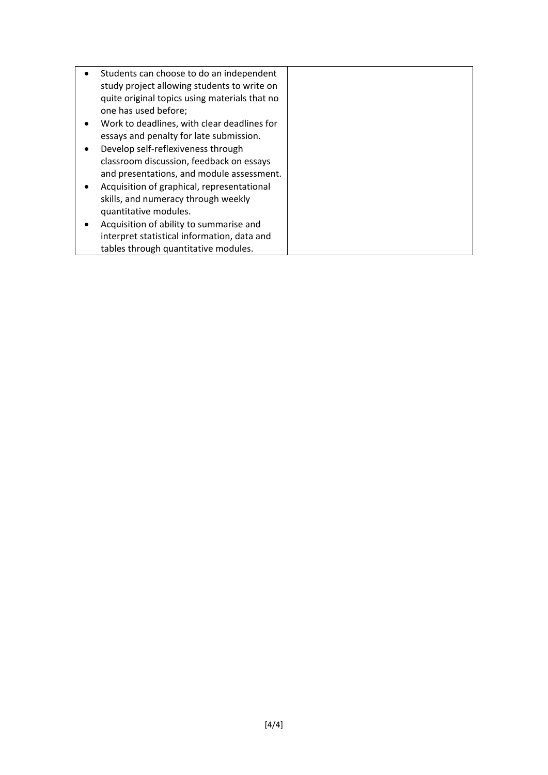| Students can choose to do an independent      |  |
|-----------------------------------------------|--|
| study project allowing students to write on   |  |
| quite original topics using materials that no |  |
| one has used before;                          |  |
|                                               |  |
| Work to deadlines, with clear deadlines for   |  |
| essays and penalty for late submission.       |  |
| Develop self-reflexiveness through            |  |
| classroom discussion, feedback on essays      |  |
| and presentations, and module assessment.     |  |
| Acquisition of graphical, representational    |  |
| skills, and numeracy through weekly           |  |
| quantitative modules.                         |  |
| Acquisition of ability to summarise and       |  |
| interpret statistical information, data and   |  |
| tables through quantitative modules.          |  |